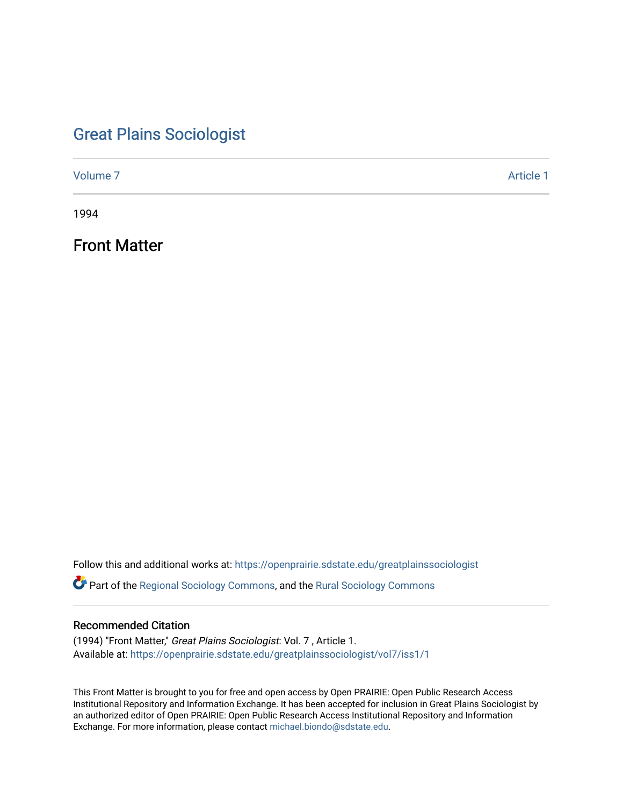# [Great Plains Sociologist](https://openprairie.sdstate.edu/greatplainssociologist)

[Volume 7](https://openprairie.sdstate.edu/greatplainssociologist/vol7) Article 1

1994

Front Matter

Follow this and additional works at: [https://openprairie.sdstate.edu/greatplainssociologist](https://openprairie.sdstate.edu/greatplainssociologist?utm_source=openprairie.sdstate.edu%2Fgreatplainssociologist%2Fvol7%2Fiss1%2F1&utm_medium=PDF&utm_campaign=PDFCoverPages) 

Part of the [Regional Sociology Commons](http://network.bepress.com/hgg/discipline/427?utm_source=openprairie.sdstate.edu%2Fgreatplainssociologist%2Fvol7%2Fiss1%2F1&utm_medium=PDF&utm_campaign=PDFCoverPages), and the [Rural Sociology Commons](http://network.bepress.com/hgg/discipline/428?utm_source=openprairie.sdstate.edu%2Fgreatplainssociologist%2Fvol7%2Fiss1%2F1&utm_medium=PDF&utm_campaign=PDFCoverPages) 

## Recommended Citation

(1994) "Front Matter," Great Plains Sociologist: Vol. 7 , Article 1. Available at: [https://openprairie.sdstate.edu/greatplainssociologist/vol7/iss1/1](https://openprairie.sdstate.edu/greatplainssociologist/vol7/iss1/1?utm_source=openprairie.sdstate.edu%2Fgreatplainssociologist%2Fvol7%2Fiss1%2F1&utm_medium=PDF&utm_campaign=PDFCoverPages) 

This Front Matter is brought to you for free and open access by Open PRAIRIE: Open Public Research Access Institutional Repository and Information Exchange. It has been accepted for inclusion in Great Plains Sociologist by an authorized editor of Open PRAIRIE: Open Public Research Access Institutional Repository and Information Exchange. For more information, please contact [michael.biondo@sdstate.edu.](mailto:michael.biondo@sdstate.edu)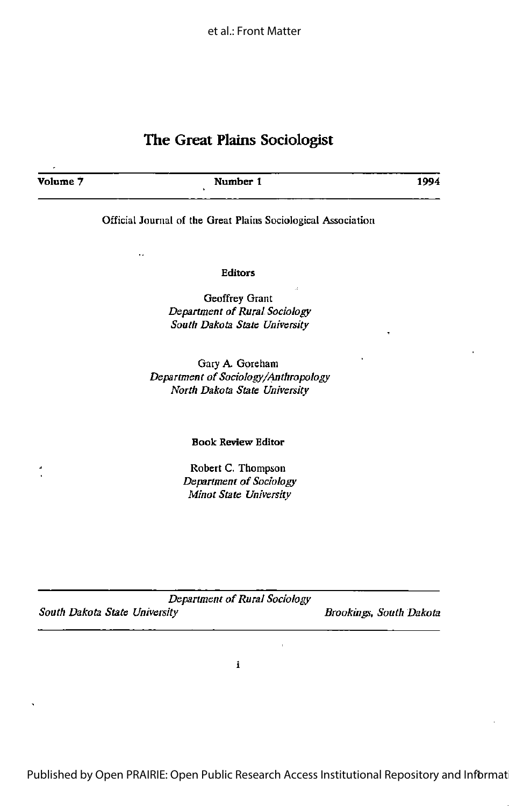## The Great Plains Sociologist

Volume 7 1994

 $\ddot{\phantom{a}}$ 

Official Journal of the Great Plains Sociological Association

Editors

Geoffrey Grant Department of Rural Sociology South Dakota State University

Gary A Goreham Department of Sociology/Anthropology North Dakota State University

#### Book Review Editor

Robert C. Thompson Department of Sociology Minot State University

|                               | Department of Rural Sociology |                         |
|-------------------------------|-------------------------------|-------------------------|
| South Dakota State University |                               | Brookings, South Dakota |

 $\mathbf i$ 

ï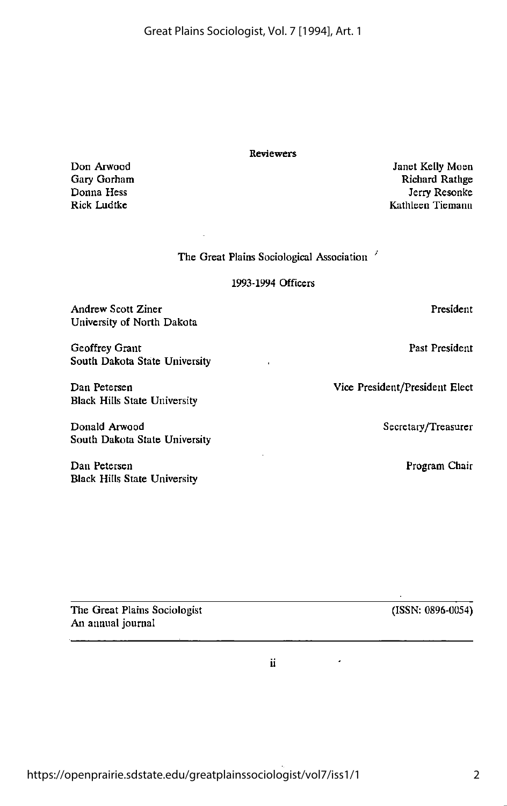https://openprairie.sdstate.edu/greatplainssociologist/vol7/iss1/1

Great Plains Sociologist, Vol. 7 [1994], Art. 1

Reviewers

Janet Kelly Moen Richard Rathge Jerry Resonke Kathleen Tiemann

The Great Plains Sociological Association '

#### 1993-1994 Officers

Andrew Scott Ziner University of North Dakota Geoffrey Grant South Dakota State University Dan Petersen Black Hills State University Donald Arwocd South Dakota State University Dan Petersen Black Hills State University President Past President Vice President/President Elect Secretary/Treasurer Program Chair

The Great Plains Sociologist An annual journal

Don Arwocd Gary Gorham Donna Hess Rick Ludtke

(ISSN: 0896-0054)

2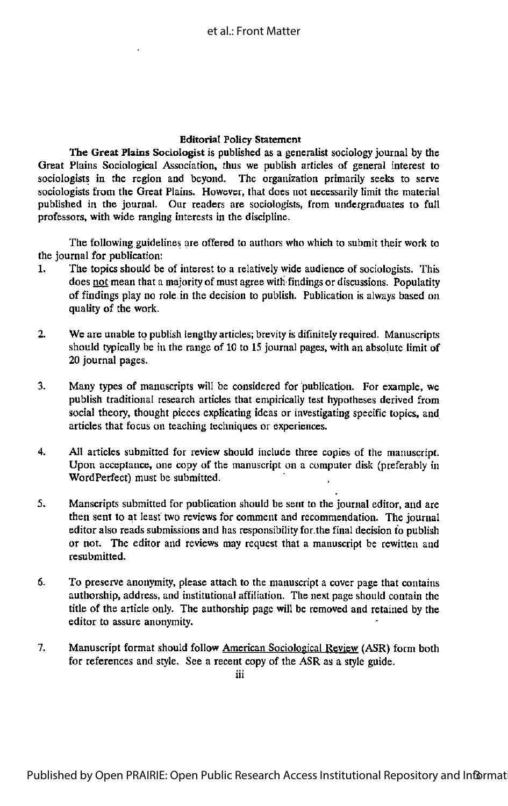#### Editorial Policy Statement

The Great Plains Sociologist is published as a generalist sociology journal by the Great Plains Sociological Association, thus we publish articles of general interest to sociologists in the region and beyond. The organization primarily seeks to serve sociologists from the Great Plains. However, that does not necessarily limit the material published in the journal. Our readers are sociologists, from undergraduates to full professors, with wide ranging interests in the discipline.

The following guidelines are offered to authors who which to submit their work to the journal for publication:

- 1. The topics should be of interest to a relatively wide audience of sociologists. This does not mean that a majority of must agree with findings or discussions. Populatity of findings play no role in the decision to publish. Publication is always based on quality of the work.
- 2. We are unable to publish lengthy articles; brevity is difinitely required. Manuscripts should typically be in the range of 10 to IS journal pages, with an absolute limit of 20 journal pages.
- 3. Many types of manuscripts will be considered for publication. For example, we publish traditional research articles that empirically test hypotheses derived from social theory, thought pieces explicating ideas or investigating specific topics, and articles that focus on teaching techniques or experiences.
- 4. All articles submitted for review should include three copies of the manuscript. Upon acceptance, one copy of the manuscript on a computer disk (preferably in WordPerfect) must be submitted.
- 5. Manscripts submitted for publication should be sent to the journal editor, and are then sent to at least two reviews for comment and recommendation. The journal editor also reads submissions and has responsibility for the final decision to publish or not. The editor and reviews may request that a manuscript be rewitten and resubmitted.
- 6. To preserve anonymity, please attach to the manuscript a cover page that contains authorship, address, and institutional affiliation. The next page should contain the title of the article only. The authorship page will be removed and retained by the editor to assure anonymity.
- 7. Manuscript format should follow American Sociological Review (ASR) form both for references and style. See a recent copy of the ASR as a style guide.

iii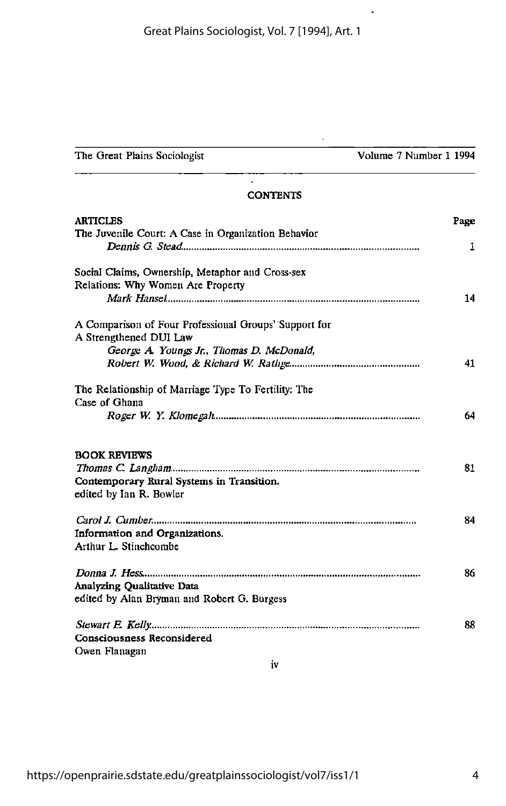# The Great Plains Sociologist Volume 7 Number 1 1994

 $\hat{\mathcal{A}}$ 

## **CONTENTS**

Ţ,

 $\bar{ }$ 

| <b>ARTICLES</b>                                       |    |
|-------------------------------------------------------|----|
| The Juvenile Court: A Case in Organization Behavior   |    |
|                                                       | 1  |
| Social Claims, Ownership, Metaphor and Cross-sex      |    |
| Relations: Why Women Are Property                     |    |
|                                                       | 14 |
| A Comparison of Four Professional Groups' Support for |    |
| A Strengthened DUI Law                                |    |
| George A. Youngs Jr., Thomas D. McDonald,             |    |
|                                                       | 41 |
| The Relationship of Marriage Type To Fertility: The   |    |
| Case of Ghana                                         |    |
|                                                       | 64 |
| <b>BOOK REVIEWS</b>                                   |    |
|                                                       | 81 |
| Contemporary Rural Systems in Transition.             |    |
| edited by Ian R. Bowler                               |    |
|                                                       | 84 |
| Information and Organizations.                        |    |
| Arthur L. Stinchcombe                                 |    |
|                                                       | 86 |
| Analyzing Qualitative Data                            |    |
| edited by Alan Bryman and Robert G. Burgess           |    |
|                                                       | 88 |
| <b>Consciousness Reconsidered</b>                     |    |
| Owen Flanagan                                         |    |